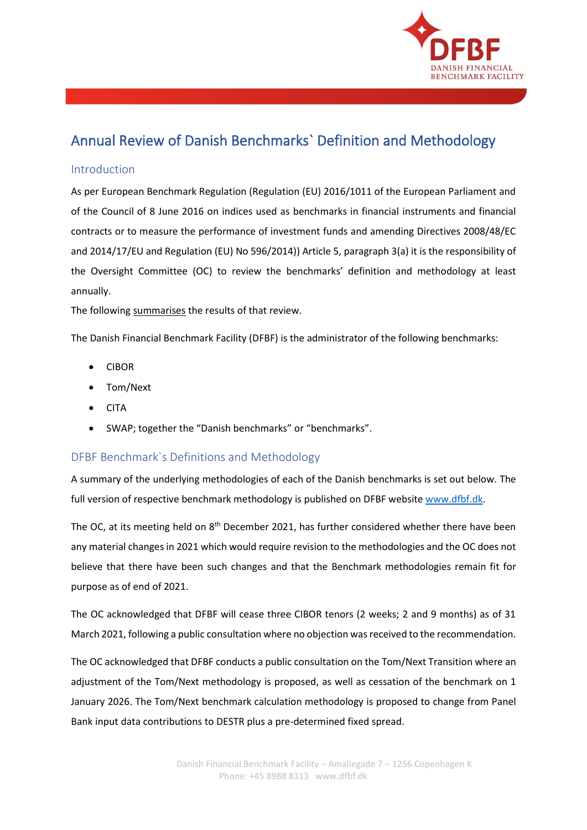

# Annual Review of Danish Benchmarks` Definition and Methodology

## Introduction

As per European Benchmark Regulation (Regulation (EU) 2016/1011 of the European Parliament and of the Council of 8 June 2016 on indices used as benchmarks in financial instruments and financial contracts or to measure the performance of investment funds and amending Directives 2008/48/EC and 2014/17/EU and Regulation (EU) No 596/2014)) Article 5, paragraph 3(a) it is the responsibility of the Oversight Committee (OC) to review the benchmarks' definition and methodology at least annually.

The following summarises the results of that review.

The Danish Financial Benchmark Facility (DFBF) is the administrator of the following benchmarks:

- CIBOR
- Tom/Next
- CITA
- SWAP; together the "Danish benchmarks" or "benchmarks".

## DFBF Benchmark`s Definitions and Methodology

A summary of the underlying methodologies of each of the Danish benchmarks is set out below. The full version of respective benchmark methodology is published on DFBF websit[e www.dfbf.dk.](http://www.dfbf.dk/)

The OC, at its meeting held on 8<sup>th</sup> December 2021, has further considered whether there have been any material changes in 2021 which would require revision to the methodologies and the OC does not believe that there have been such changes and that the Benchmark methodologies remain fit for purpose as of end of 2021.

The OC acknowledged that DFBF will cease three CIBOR tenors (2 weeks; 2 and 9 months) as of 31 March 2021, following a public consultation where no objection was received to the recommendation.

The OC acknowledged that DFBF conducts a public consultation on the Tom/Next Transition where an adjustment of the Tom/Next methodology is proposed, as well as cessation of the benchmark on 1 January 2026. The Tom/Next benchmark calculation methodology is proposed to change from Panel Bank input data contributions to DESTR plus a pre-determined fixed spread.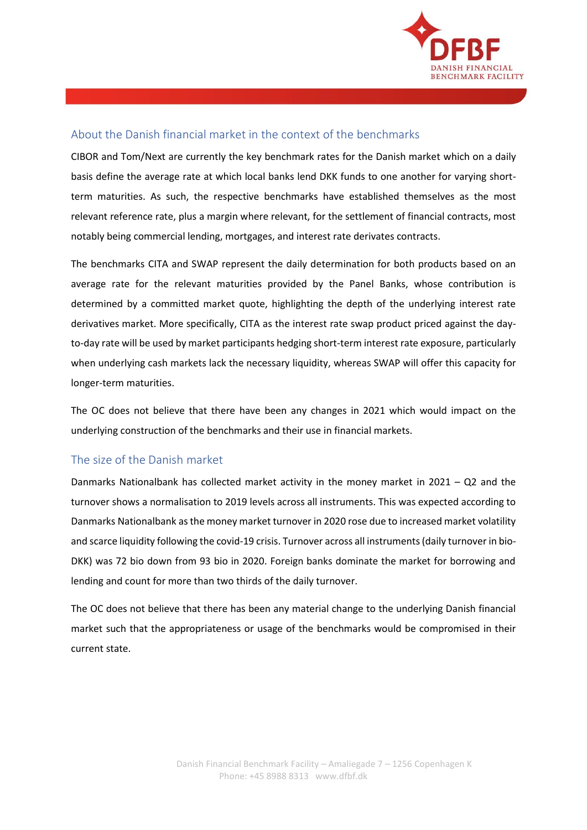

# About the Danish financial market in the context of the benchmarks

CIBOR and Tom/Next are currently the key benchmark rates for the Danish market which on a daily basis define the average rate at which local banks lend DKK funds to one another for varying shortterm maturities. As such, the respective benchmarks have established themselves as the most relevant reference rate, plus a margin where relevant, for the settlement of financial contracts, most notably being commercial lending, mortgages, and interest rate derivates contracts.

The benchmarks CITA and SWAP represent the daily determination for both products based on an average rate for the relevant maturities provided by the Panel Banks, whose contribution is determined by a committed market quote, highlighting the depth of the underlying interest rate derivatives market. More specifically, CITA as the interest rate swap product priced against the dayto-day rate will be used by market participants hedging short-term interest rate exposure, particularly when underlying cash markets lack the necessary liquidity, whereas SWAP will offer this capacity for longer-term maturities.

The OC does not believe that there have been any changes in 2021 which would impact on the underlying construction of the benchmarks and their use in financial markets.

# The size of the Danish market

Danmarks Nationalbank has collected market activity in the money market in 2021 – Q2 and the turnover shows a normalisation to 2019 levels across all instruments. This was expected according to Danmarks Nationalbank as the money market turnover in 2020 rose due to increased market volatility and scarce liquidity following the covid-19 crisis. Turnover across all instruments (daily turnover in bio-DKK) was 72 bio down from 93 bio in 2020. Foreign banks dominate the market for borrowing and lending and count for more than two thirds of the daily turnover.

The OC does not believe that there has been any material change to the underlying Danish financial market such that the appropriateness or usage of the benchmarks would be compromised in their current state.